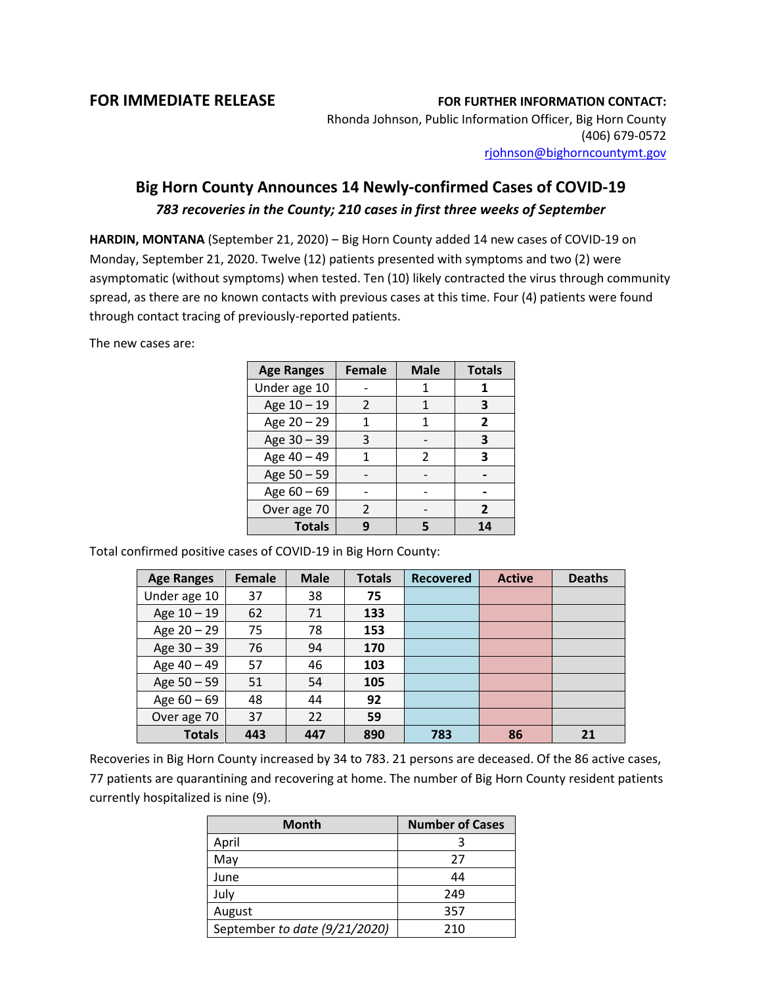## **FOR IMMEDIATE RELEASE FOR FURTHER INFORMATION CONTACT:**

Rhonda Johnson, Public Information Officer, Big Horn County (406) 679-0572 [rjohnson@bighorncountymt.gov](mailto:rjohnson@bighorncountymt.gov)

## **Big Horn County Announces 14 Newly-confirmed Cases of COVID-19** *783 recoveries in the County; 210 cases in first three weeks of September*

**HARDIN, MONTANA** (September 21, 2020) – Big Horn County added 14 new cases of COVID-19 on Monday, September 21, 2020. Twelve (12) patients presented with symptoms and two (2) were asymptomatic (without symptoms) when tested. Ten (10) likely contracted the virus through community spread, as there are no known contacts with previous cases at this time. Four (4) patients were found through contact tracing of previously-reported patients.

The new cases are:

| <b>Age Ranges</b> | <b>Female</b> | <b>Male</b>    | <b>Totals</b>  |
|-------------------|---------------|----------------|----------------|
| Under age 10      |               |                |                |
| Age 10 - 19       | $\mathcal{P}$ |                | 3              |
| Age 20 - 29       | 1             | 1              | $\overline{2}$ |
| Age 30 - 39       | 3             |                | 3              |
| Age 40 - 49       | 1             | $\mathfrak{p}$ | 3              |
| Age 50 - 59       |               |                |                |
| Age $60 - 69$     |               |                |                |
| Over age 70       | $\mathcal{P}$ |                | $\overline{2}$ |
| <b>Totals</b>     |               |                | 14             |

Total confirmed positive cases of COVID-19 in Big Horn County:

| <b>Age Ranges</b> | Female | <b>Male</b> | <b>Totals</b> | <b>Recovered</b> | <b>Active</b> | <b>Deaths</b> |
|-------------------|--------|-------------|---------------|------------------|---------------|---------------|
| Under age 10      | 37     | 38          | 75            |                  |               |               |
| Age 10 - 19       | 62     | 71          | 133           |                  |               |               |
| Age 20 - 29       | 75     | 78          | 153           |                  |               |               |
| Age 30 - 39       | 76     | 94          | 170           |                  |               |               |
| Age 40 - 49       | 57     | 46          | 103           |                  |               |               |
| Age 50 - 59       | 51     | 54          | 105           |                  |               |               |
| Age $60 - 69$     | 48     | 44          | 92            |                  |               |               |
| Over age 70       | 37     | 22          | 59            |                  |               |               |
| <b>Totals</b>     | 443    | 447         | 890           | 783              | 86            | 21            |

Recoveries in Big Horn County increased by 34 to 783. 21 persons are deceased. Of the 86 active cases, 77 patients are quarantining and recovering at home. The number of Big Horn County resident patients currently hospitalized is nine (9).

| <b>Month</b>                  | <b>Number of Cases</b> |  |  |
|-------------------------------|------------------------|--|--|
| April                         |                        |  |  |
| May                           | 27                     |  |  |
| June                          | 44                     |  |  |
| July                          | 249                    |  |  |
| August                        | 357                    |  |  |
| September to date (9/21/2020) | 210                    |  |  |